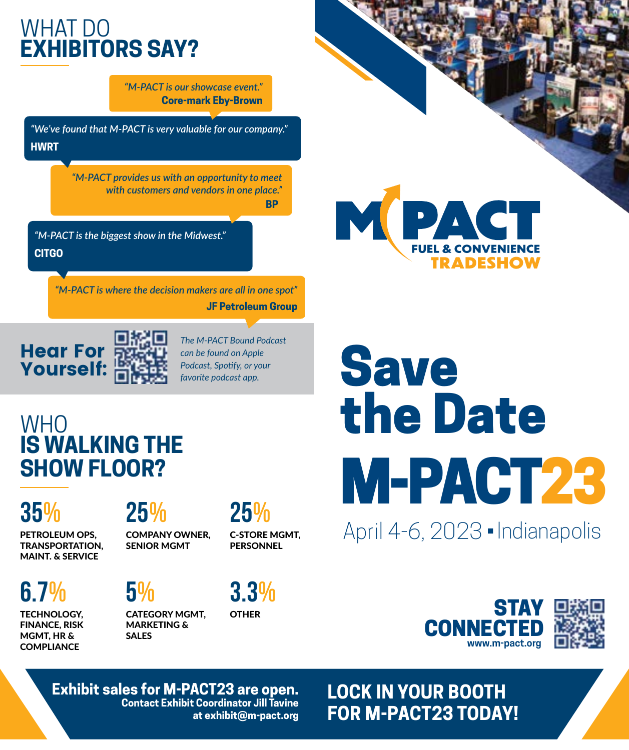## WHAT DO **EXHIBITORS SAY?**

*"M-PACT is our showcase event."* **Core-mark Eby-Brown**

*"We've found that M-PACT is very valuable for our company."* **HWRT**

> *"M-PACT provides us with an opportunity to meet with customers and vendors in one place."* **BP**

*"M-PACT is the biggest show in the Midwest."* **CITGO**

> *"M-PACT is where the decision makers are all in one spot"* **JF Petroleum Group**



*The M-PACT Bound Podcast can be found on Apple Podcast, Spotify, or your favorite podcast app.*

### WHO **IS WALKING THE SHOW FLOOR?**

## **35%**

PETROLEUM OPS, TRANSPORTATION, MAINT. & SERVICE

**25%** COMPANY OWNER, SENIOR MGMT

**25%**

C-STORE MGMT, PERSONNEL

**6.7%** TECHNOLOGY, FINANCE, RISK

MGMT, HR & **COMPLIANCE** 

**5%** CATEGORY MGMT, MARKETING &

SALES



**OTHER** 



**Exhibit sales for M-PACT23 are open. Contact Exhibit Coordinator Jill Tavine at exhibit@m-pact.org**

# **Save** the Date M-PACT23

**TRADESHOW** 

**MPACT** 

April 4-6, 2023 <del>-</del> Indianapolis